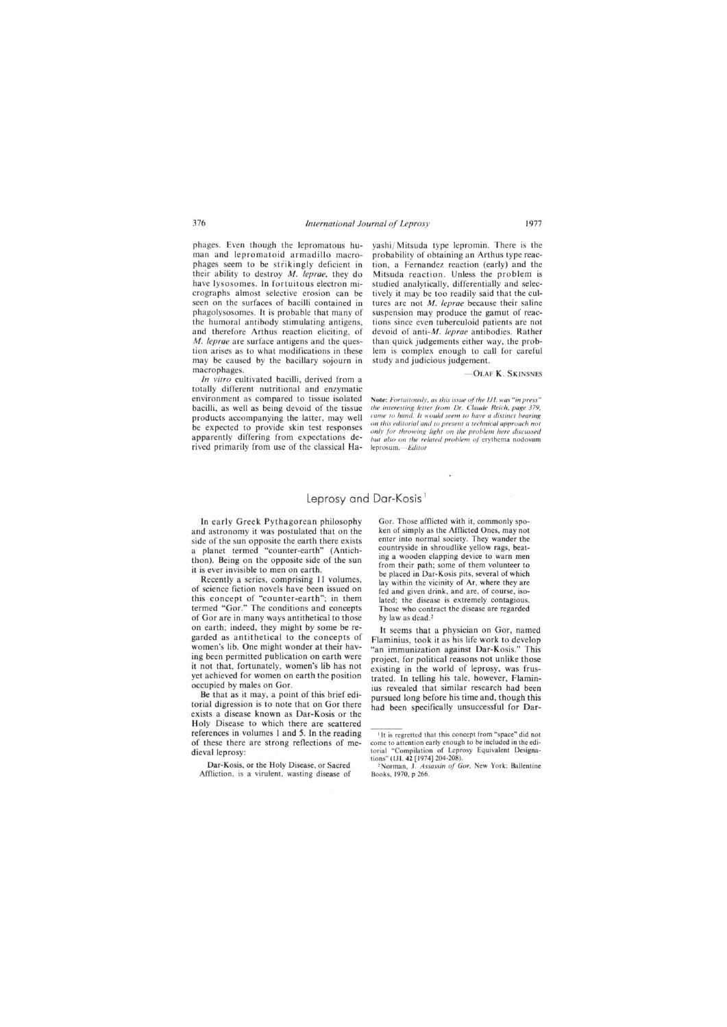## Leprosy and Dar-Kosis<sup>1</sup>

In early Greek Pythagorean philosophy and astronomy it was postulated that on the side of the sun opposite the earth there exists a planet termed "counter-earth" (Antichthon). Being on the opposite side of the sun it is ever invisible to men on earth.

Recently a series, comprising II volumes, of science fiction noveIs have been issued on this concept of "counter-earth"; in them termed "Gor." The conditions and concepts of Gor are in many ways antithetical to those on earth; indeed, they might by some be regarded as antithetical to the concepts of women's lib. One might wonder at their having been permitted publication on earth were it not that, fortunately, women's lib has not yet achieved for women on earth the position occupied by males on Gor.

Be that as it may, a point of this brief editorial digression is to note that on Gor there exists a disease known as Dar-Kosis or the Holy Disease to which there are scattered references in volumes I and 5. In the reading of these there are strong reflections of medieval leprosy:

Dar-Kosis, or tbe Holy Disease, or Sacred Affliction, is a virulent, wasting disease of Gor. Those afflicted with it, commonly spoken of simply as the Afflicted Ones, may not enter into normal society. They wander the countryside in shroudlike yellow rags, beating a wooden clapping device to warn men from their path; some of them volunteer to be placed in Dar-Kosis pits, several of which lay within the vicinity of Ar, where they are fed and given drink, and are, of course, isolated; the disease is extremely contagious. Those who contract the disease are regarded by law as dead.<sup>2</sup>

It seems that a physician on Gor, named Flaminius, took it as his life work to develop "an immunization against Dar-Kosis." This project, for political reasons not unlike those existing in the world of leprosy, was frustrated. In telling his tale, however, Flaminius revealed that similar research had been pursued long before his time and, though this had been specifically unsuccessful for Dar-

<sup>&#</sup>x27;It is regretted that this concept from "space" did not come to attention early enough to be included in the editorial "Compilation of Leprosy Equivalent Designations" (lJL 42 [1974] 204-208).

<sup>&</sup>lt;sup>2</sup>Norman, J. *Assassin of Gor*, New York: Ballentine Books, 1970, p 266.